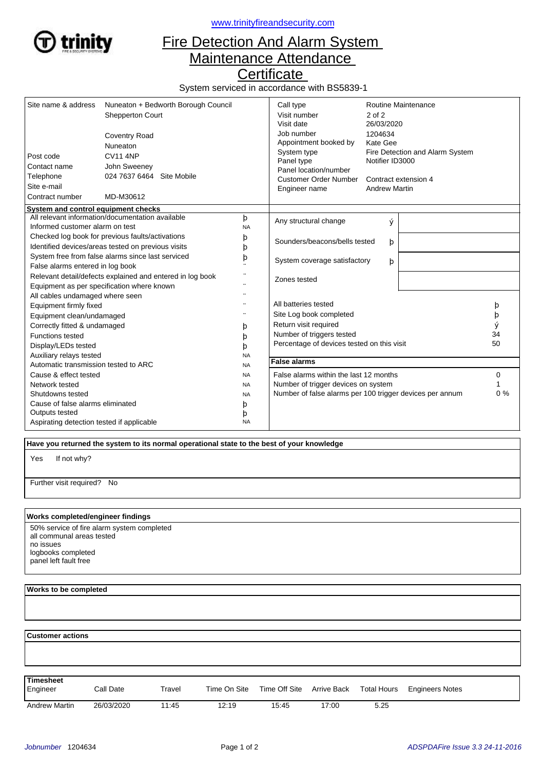

<www.trinityfireandsecurity.com>

## Fire Detection And Alarm System Maintenance Attendance

**Certificate** 

System serviced in accordance with BS5839-1

| Site name & address<br>Post code<br>Contact name<br>Telephone<br>Site e-mail<br>Contract number | Nuneaton + Bedworth Borough Council<br>Shepperton Court<br><b>Coventry Road</b><br>Nuneaton<br><b>CV11 4NP</b><br>John Sweeney<br>024 7637 6464 Site Mobile<br>MD-M30612 |                                   | Call type<br>Visit number<br>Visit date<br>Job number<br>Appointment booked by<br>System type<br>Panel type<br>Panel location/number<br><b>Customer Order Number</b><br>Engineer name | $2$ of $2$<br>26/03/2020<br>1204634<br>Kate Gee<br>Notifier ID3000<br><b>Andrew Martin</b> | Routine Maintenance<br>Fire Detection and Alarm System<br>Contract extension 4 |       |
|-------------------------------------------------------------------------------------------------|--------------------------------------------------------------------------------------------------------------------------------------------------------------------------|-----------------------------------|---------------------------------------------------------------------------------------------------------------------------------------------------------------------------------------|--------------------------------------------------------------------------------------------|--------------------------------------------------------------------------------|-------|
| System and control equipment checks                                                             |                                                                                                                                                                          |                                   |                                                                                                                                                                                       |                                                                                            |                                                                                |       |
| All relevant information/documentation available<br>Informed customer alarm on test             |                                                                                                                                                                          | þ<br><b>NA</b>                    | Any structural change                                                                                                                                                                 | ý                                                                                          |                                                                                |       |
|                                                                                                 | Checked log book for previous faults/activations<br>Identified devices/areas tested on previous visits                                                                   | þ<br>þ                            | Sounders/beacons/bells tested                                                                                                                                                         | þ                                                                                          |                                                                                |       |
| False alarms entered in log book                                                                | System free from false alarms since last serviced                                                                                                                        | þ<br>$\sim 10$                    | System coverage satisfactory                                                                                                                                                          | þ                                                                                          |                                                                                |       |
|                                                                                                 | Relevant detail/defects explained and entered in log book<br>Equipment as per specification where known                                                                  | $\ddotsc$<br>$\ddot{\phantom{a}}$ | Zones tested                                                                                                                                                                          |                                                                                            |                                                                                |       |
| All cables undamaged where seen                                                                 |                                                                                                                                                                          |                                   |                                                                                                                                                                                       |                                                                                            |                                                                                |       |
| Equipment firmly fixed                                                                          |                                                                                                                                                                          | $\ddot{\phantom{a}}$              | All batteries tested                                                                                                                                                                  |                                                                                            |                                                                                | þ     |
| Equipment clean/undamaged                                                                       |                                                                                                                                                                          | $\ldots$                          | Site Log book completed                                                                                                                                                               |                                                                                            |                                                                                | þ     |
| Correctly fitted & undamaged                                                                    |                                                                                                                                                                          | þ                                 | Return visit required                                                                                                                                                                 |                                                                                            |                                                                                | ý     |
| <b>Functions tested</b>                                                                         |                                                                                                                                                                          | þ                                 | Number of triggers tested                                                                                                                                                             |                                                                                            |                                                                                | 34    |
| Display/LEDs tested                                                                             |                                                                                                                                                                          | þ                                 | Percentage of devices tested on this visit                                                                                                                                            |                                                                                            |                                                                                | 50    |
| Auxiliary relays tested                                                                         |                                                                                                                                                                          | <b>NA</b>                         |                                                                                                                                                                                       |                                                                                            |                                                                                |       |
| Automatic transmission tested to ARC                                                            |                                                                                                                                                                          | <b>NA</b>                         | <b>False alarms</b>                                                                                                                                                                   |                                                                                            |                                                                                |       |
| Cause & effect tested                                                                           |                                                                                                                                                                          | <b>NA</b>                         | False alarms within the last 12 months                                                                                                                                                |                                                                                            |                                                                                | 0     |
| Network tested                                                                                  |                                                                                                                                                                          | <b>NA</b>                         | Number of trigger devices on system                                                                                                                                                   |                                                                                            |                                                                                |       |
| Shutdowns tested                                                                                |                                                                                                                                                                          | <b>NA</b>                         | Number of false alarms per 100 trigger devices per annum                                                                                                                              |                                                                                            |                                                                                | $0\%$ |
| Cause of false alarms eliminated                                                                |                                                                                                                                                                          | þ                                 |                                                                                                                                                                                       |                                                                                            |                                                                                |       |
| Outputs tested                                                                                  |                                                                                                                                                                          | þ                                 |                                                                                                                                                                                       |                                                                                            |                                                                                |       |
| Aspirating detection tested if applicable                                                       |                                                                                                                                                                          | <b>NA</b>                         |                                                                                                                                                                                       |                                                                                            |                                                                                |       |

 **Have you returned the system to its normal operational state to the best of your knowledge** If not why? Yes

Further visit required? No

## **Works completed/engineer findings**

50% service of fire alarm system completed all communal areas tested no issues logbooks completed panel left fault free

## **Works to be completed**

 **Customer actions**

| Timesheet<br>Engineer | Call Date  | Travel | Time On Site |       |       |      | Time Off Site Arrive Back Total Hours Engineers Notes |
|-----------------------|------------|--------|--------------|-------|-------|------|-------------------------------------------------------|
| <b>Andrew Martin</b>  | 26/03/2020 | 11:45  | 12:19        | 15:45 | 17:00 | 5.25 |                                                       |